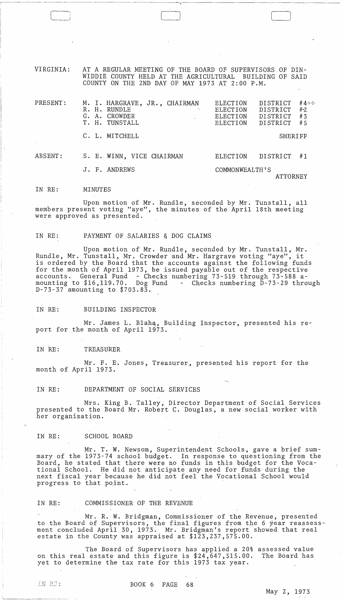VIRGINIA: AT A REGULAR MEETING OF THE BOARD OF SUPERVISORS OF DIN-WIDDIE COUNTY HELD AT THE AGRICULTURAL BUILDING OF SAID COUNTY ON THE 2ND DAY OF MAY 1973 AT 2:00 P.M.

| PRESENT: | M. I. HARGRAVE, JR., CHAIRMAN<br>R. H. RUNDLE<br>CROWDER<br>G. A.<br>T. H. TUNSTALL | $#4 +$<br>DISTRICT<br>ELECTION<br>#2<br><b>DISTRICT</b><br>ELECTION<br>#3<br>ELECTION<br>DISTRICT<br>DISTRICT<br>#5<br>ELECTION |
|----------|-------------------------------------------------------------------------------------|---------------------------------------------------------------------------------------------------------------------------------|
|          | C. L. MITCHELL                                                                      | SHERIFF                                                                                                                         |
| ABSENT:  | S. E. WINN, VICE CHAIRMAN                                                           | DISTRICT<br>ELECTION<br>#1                                                                                                      |
|          | J. F. ANDREWS                                                                       | COMMONWEALTH'S<br>ATTORNEY                                                                                                      |

IN RE: MINUTES

i-~·---~--·

Upon motion of Mr. Rundle, seconded by Mr. Tunstall, all members present voting "aye", the minutes of the April 18th meeting were approved as presented.

### IN RE: PAYMENT OF SALARIES & DOG CLAIMS

Upon motion of Mr. Rundle, seconded by Mr. Tunstall, Mr. Rundle, Mr. Tunstall, Mr. Crowder and Mr. Hargrave voting "aye", it is ordered by the Board that the accounts against the following funds for the month of April 1973, be issued payable out of the respective accounts. General Fund - Checks numbering 73-519 through 73-588 amounting to  $$16,119.70$ . Dog Fund - Checks numbering  $D-73-29$  through D-73-37 amounting to \$703.83.

# IN RE: BUILDING INSPECTOR

Mr. James L. Blahq, Building Inspector, presented his report for the month of April 1973.

## IN RE: TREASURER

Mr. F. E. Jones, Treasurer, presented his report for the month of April 1973.

### IN RE: DEPARTMENT OF SOCIAL SERVICES

Mrs. King B. Talley, Director Department of Social Services presented to the Board Mr. Robert C. Douglas, a new social worker with her organization.

### IN RE: SCHOOL BOARD

Mr. T. W. Newsom, Superintendent Schools, gave a brief summary of the 1973-74 school budget. In response to questioning from the Board, he stated that there were no funds in this budget for the Vocational School. He did not anticipate any need for funds during the next fiscal year-because he did not feel the Vocational School would progress to that point.

# IN RE: COMMISSIONER OF THE REVENUE

Mr. R. W. Bridgman, Commissioner of the Revenue, presented to the Board of Supervisors, the final figures from the 6 year reassessment concluded April 30, 1973. Mr. Bridgman's report showed that real estate in the County was appraised at \$123,237,575.00.

The Board of Supervisors has applied a 20% assessed value on this real estate and this figure is  $$24,647,515.00$ . The Board has yet to determine the tax rate for this 1973 tax year.

IN RE:

1